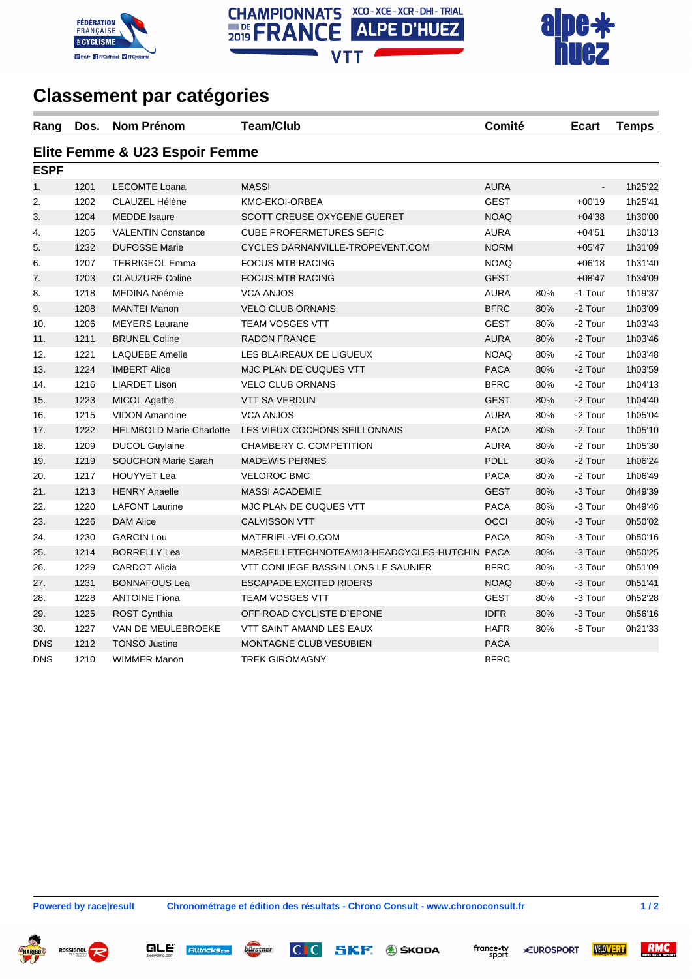





## **Classement par catégories**

| Rang                           | Dos. | <b>Nom Prénom</b>               | <b>Team/Club</b>                              | Comité      |     | <b>Ecart</b>   | <b>Temps</b> |  |  |  |  |  |  |
|--------------------------------|------|---------------------------------|-----------------------------------------------|-------------|-----|----------------|--------------|--|--|--|--|--|--|
| Elite Femme & U23 Espoir Femme |      |                                 |                                               |             |     |                |              |  |  |  |  |  |  |
| <b>ESPF</b>                    |      |                                 |                                               |             |     |                |              |  |  |  |  |  |  |
| 1.                             | 1201 | <b>LECOMTE Loana</b>            | <b>MASSI</b>                                  | <b>AURA</b> |     | $\blacksquare$ | 1h25'22      |  |  |  |  |  |  |
| 2.                             | 1202 | CLAUZEL Hélène                  | KMC-EKOI-ORBEA                                | <b>GEST</b> |     | $+00'19$       | 1h25'41      |  |  |  |  |  |  |
| 3.                             | 1204 | <b>MEDDE</b> Isaure             | SCOTT CREUSE OXYGENE GUERET                   | <b>NOAQ</b> |     | $+04'38$       | 1h30'00      |  |  |  |  |  |  |
| 4.                             | 1205 | <b>VALENTIN Constance</b>       | <b>CUBE PROFERMETURES SEFIC</b>               | <b>AURA</b> |     | $+04'51$       | 1h30'13      |  |  |  |  |  |  |
| 5.                             | 1232 | <b>DUFOSSE Marie</b>            | CYCLES DARNANVILLE-TROPEVENT.COM              | <b>NORM</b> |     | $+05'47$       | 1h31'09      |  |  |  |  |  |  |
| 6.                             | 1207 | <b>TERRIGEOL Emma</b>           | <b>FOCUS MTB RACING</b>                       | <b>NOAQ</b> |     | $+06'18$       | 1h31'40      |  |  |  |  |  |  |
| 7.                             | 1203 | <b>CLAUZURE Coline</b>          | <b>FOCUS MTB RACING</b>                       | <b>GEST</b> |     | $+08'47$       | 1h34'09      |  |  |  |  |  |  |
| 8.                             | 1218 | <b>MEDINA Noémie</b>            | <b>VCA ANJOS</b>                              | <b>AURA</b> | 80% | -1 Tour        | 1h19'37      |  |  |  |  |  |  |
| 9.                             | 1208 | <b>MANTEI Manon</b>             | <b>VELO CLUB ORNANS</b>                       | <b>BFRC</b> | 80% | -2 Tour        | 1h03'09      |  |  |  |  |  |  |
| 10.                            | 1206 | <b>MEYERS Laurane</b>           | <b>TEAM VOSGES VTT</b>                        | <b>GEST</b> | 80% | -2 Tour        | 1h03'43      |  |  |  |  |  |  |
| 11.                            | 1211 | <b>BRUNEL Coline</b>            | <b>RADON FRANCE</b>                           | <b>AURA</b> | 80% | -2 Tour        | 1h03'46      |  |  |  |  |  |  |
| 12.                            | 1221 | <b>LAQUEBE Amelie</b>           | LES BLAIREAUX DE LIGUEUX                      | <b>NOAQ</b> | 80% | -2 Tour        | 1h03'48      |  |  |  |  |  |  |
| 13.                            | 1224 | <b>IMBERT Alice</b>             | MJC PLAN DE CUQUES VTT                        | <b>PACA</b> | 80% | -2 Tour        | 1h03'59      |  |  |  |  |  |  |
| 14.                            | 1216 | <b>LIARDET Lison</b>            | <b>VELO CLUB ORNANS</b>                       | <b>BFRC</b> | 80% | -2 Tour        | 1h04'13      |  |  |  |  |  |  |
| 15.                            | 1223 | MICOL Agathe                    | <b>VTT SA VERDUN</b>                          | <b>GEST</b> | 80% | -2 Tour        | 1h04'40      |  |  |  |  |  |  |
| 16.                            | 1215 | <b>VIDON Amandine</b>           | <b>VCA ANJOS</b>                              | <b>AURA</b> | 80% | -2 Tour        | 1h05'04      |  |  |  |  |  |  |
| 17.                            | 1222 | <b>HELMBOLD Marie Charlotte</b> | LES VIEUX COCHONS SEILLONNAIS                 | <b>PACA</b> | 80% | -2 Tour        | 1h05'10      |  |  |  |  |  |  |
| 18.                            | 1209 | <b>DUCOL Guylaine</b>           | CHAMBERY C. COMPETITION                       | <b>AURA</b> | 80% | -2 Tour        | 1h05'30      |  |  |  |  |  |  |
| 19.                            | 1219 | <b>SOUCHON Marie Sarah</b>      | <b>MADEWIS PERNES</b>                         | <b>PDLL</b> | 80% | -2 Tour        | 1h06'24      |  |  |  |  |  |  |
| 20.                            | 1217 | <b>HOUYVET Lea</b>              | <b>VELOROC BMC</b>                            | <b>PACA</b> | 80% | -2 Tour        | 1h06'49      |  |  |  |  |  |  |
| 21.                            | 1213 | <b>HENRY Anaelle</b>            | <b>MASSI ACADEMIE</b>                         | <b>GEST</b> | 80% | -3 Tour        | 0h49'39      |  |  |  |  |  |  |
| 22.                            | 1220 | <b>LAFONT Laurine</b>           | MJC PLAN DE CUQUES VTT                        | <b>PACA</b> | 80% | -3 Tour        | 0h49'46      |  |  |  |  |  |  |
| 23.                            | 1226 | <b>DAM Alice</b>                | <b>CALVISSON VTT</b>                          | OCCI        | 80% | -3 Tour        | 0h50'02      |  |  |  |  |  |  |
| 24.                            | 1230 | <b>GARCIN Lou</b>               | MATERIEL-VELO.COM                             | <b>PACA</b> | 80% | -3 Tour        | 0h50'16      |  |  |  |  |  |  |
| 25.                            | 1214 | <b>BORRELLY Lea</b>             | MARSEILLETECHNOTEAM13-HEADCYCLES-HUTCHIN PACA |             | 80% | -3 Tour        | 0h50'25      |  |  |  |  |  |  |
| 26.                            | 1229 | <b>CARDOT Alicia</b>            | VTT CONLIEGE BASSIN LONS LE SAUNIER           | <b>BFRC</b> | 80% | -3 Tour        | 0h51'09      |  |  |  |  |  |  |
| 27.                            | 1231 | <b>BONNAFOUS Lea</b>            | <b>ESCAPADE EXCITED RIDERS</b>                | <b>NOAQ</b> | 80% | -3 Tour        | 0h51'41      |  |  |  |  |  |  |
| 28.                            | 1228 | <b>ANTOINE Fiona</b>            | <b>TEAM VOSGES VTT</b>                        | <b>GEST</b> | 80% | -3 Tour        | 0h52'28      |  |  |  |  |  |  |
| 29.                            | 1225 | ROST Cynthia                    | OFF ROAD CYCLISTE D'EPONE                     | <b>IDFR</b> | 80% | -3 Tour        | 0h56'16      |  |  |  |  |  |  |
| 30.                            | 1227 | VAN DE MEULEBROEKE              | VTT SAINT AMAND LES EAUX                      | <b>HAFR</b> | 80% | -5 Tour        | 0h21'33      |  |  |  |  |  |  |
| <b>DNS</b>                     | 1212 | <b>TONSO Justine</b>            | <b>MONTAGNE CLUB VESUBIEN</b>                 | <b>PACA</b> |     |                |              |  |  |  |  |  |  |
| <b>DNS</b>                     | 1210 | <b>WIMMER Manon</b>             | <b>TREK GIROMAGNY</b>                         | <b>BFRC</b> |     |                |              |  |  |  |  |  |  |

are

**Alltricks.com** 

bürstner

**Powered by race|result Chronométrage et édition des résultats - Chrono Consult - www.chronoconsult.fr 1 / 2**

**SKF. J** ŠKODA

france.tv<br>sport

 $|C|C|$ 



RMC

VELOVERT

**\*EUROSPORT**